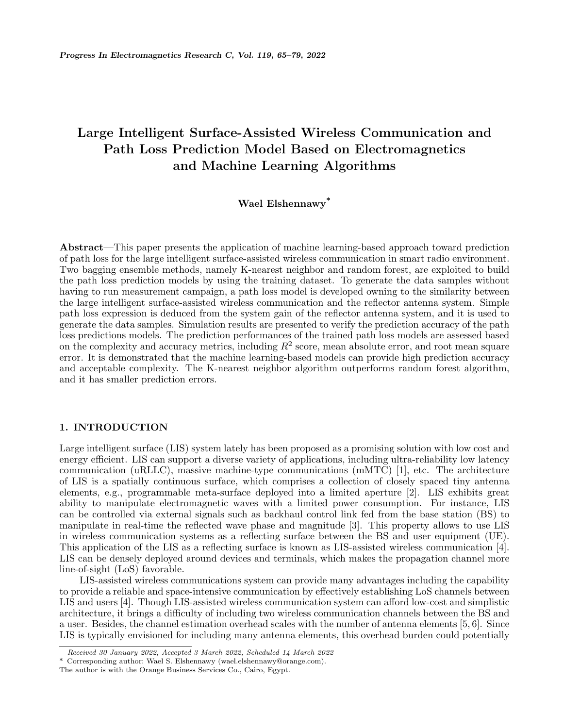# **Large Intelligent Surface-Assisted Wireless Communication and Path Loss Prediction Model Based on Electromagnetics and Machine Learning Algorithms**

# **Wael Elshennawy\***

**Abstract**—This paper presents the application of machine learning-based approach toward prediction of path loss for the large intelligent surface-assisted wireless communication in smart radio environment. Two bagging ensemble methods, namely K-nearest neighbor and random forest, are exploited to build the path loss prediction models by using the training dataset. To generate the data samples without having to run measurement campaign, a path loss model is developed owning to the similarity between the large intelligent surface-assisted wireless communication and the reflector antenna system. Simple path loss expression is deduced from the system gain of the reflector antenna system, and it is used to generate the data samples. Simulation results are presented to verify the prediction accuracy of the path loss predictions models. The prediction performances of the trained path loss models are assessed based on the complexity and accuracy metrics, including *R*<sup>2</sup> score, mean absolute error, and root mean square error. It is demonstrated that the machine learning-based models can provide high prediction accuracy and acceptable complexity. The K-nearest neighbor algorithm outperforms random forest algorithm, and it has smaller prediction errors.

## **1. INTRODUCTION**

Large intelligent surface (LIS) system lately has been proposed as a promising solution with low cost and energy efficient. LIS can support a diverse variety of applications, including ultra-reliability low latency communication (uRLLC), massive machine-type communications (mMTC) [1], etc. The architecture of LIS is a spatially continuous surface, which comprises a collection of closely spaced tiny antenna elements, e.g., programmable meta-surface deployed into a limited aperture [2]. LIS exhibits great ability to manipulate electromagnetic waves with a limited power consumption. For instance, LIS can be controlled via external signals such as backhaul control link fed from the base station (BS) to manipulate in real-time the reflected wave phase and magnitude [3]. This property allows to use LIS in wireless communication systems as a reflecting surface between the BS and user equipment (UE). This application of the LIS as a reflecting surface is known as LIS-assisted wireless communication [4]. LIS can be densely deployed around devices and terminals, which makes the propagation channel more line-of-sight (LoS) favorable.

LIS-assisted wireless communications system can provide many advantages including the capability to provide a reliable and space-intensive communication by effectively establishing LoS channels between LIS and users [4]. Though LIS-assisted wireless communication system can afford low-cost and simplistic architecture, it brings a difficulty of including two wireless communication channels between the BS and a user. Besides, the channel estimation overhead scales with the number of antenna elements [5, 6]. Since LIS is typically envisioned for including many antenna elements, this overhead burden could potentially

*Received 30 January 2022, Accepted 3 March 2022, Scheduled 14 March 2022*

<sup>\*</sup> Corresponding author: Wael S. Elshennawy (wael.elshennawy@orange.com).

The author is with the Orange Business Services Co., Cairo, Egypt.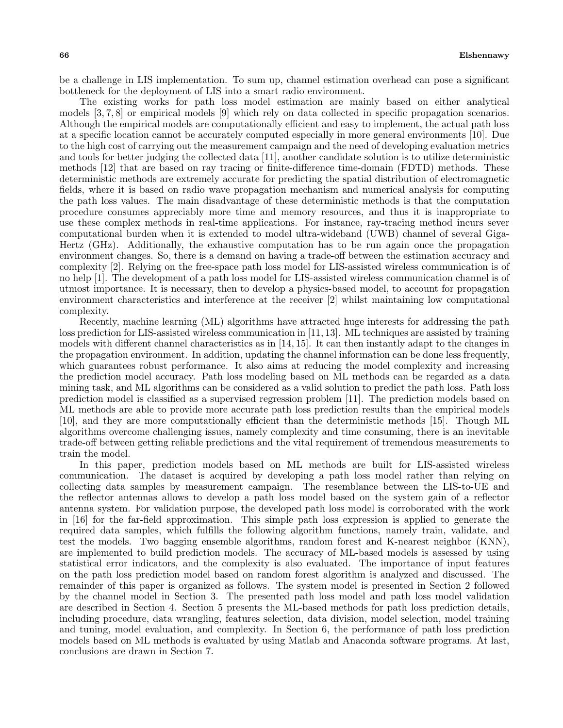be a challenge in LIS implementation. To sum up, channel estimation overhead can pose a significant bottleneck for the deployment of LIS into a smart radio environment.

The existing works for path loss model estimation are mainly based on either analytical models [3, 7, 8] or empirical models [9] which rely on data collected in specific propagation scenarios. Although the empirical models are computationally efficient and easy to implement, the actual path loss at a specific location cannot be accurately computed especially in more general environments [10]. Due to the high cost of carrying out the measurement campaign and the need of developing evaluation metrics and tools for better judging the collected data [11], another candidate solution is to utilize deterministic methods [12] that are based on ray tracing or finite-difference time-domain (FDTD) methods. These deterministic methods are extremely accurate for predicting the spatial distribution of electromagnetic fields, where it is based on radio wave propagation mechanism and numerical analysis for computing the path loss values. The main disadvantage of these deterministic methods is that the computation procedure consumes appreciably more time and memory resources, and thus it is inappropriate to use these complex methods in real-time applications. For instance, ray-tracing method incurs sever computational burden when it is extended to model ultra-wideband (UWB) channel of several Giga-Hertz (GHz). Additionally, the exhaustive computation has to be run again once the propagation environment changes. So, there is a demand on having a trade-off between the estimation accuracy and complexity [2]. Relying on the free-space path loss model for LIS-assisted wireless communication is of no help [1]. The development of a path loss model for LIS-assisted wireless communication channel is of utmost importance. It is necessary, then to develop a physics-based model, to account for propagation environment characteristics and interference at the receiver [2] whilst maintaining low computational complexity.

Recently, machine learning (ML) algorithms have attracted huge interests for addressing the path loss prediction for LIS-assisted wireless communication in [11, 13]. ML techniques are assisted by training models with different channel characteristics as in [14, 15]. It can then instantly adapt to the changes in the propagation environment. In addition, updating the channel information can be done less frequently, which guarantees robust performance. It also aims at reducing the model complexity and increasing the prediction model accuracy. Path loss modeling based on ML methods can be regarded as a data mining task, and ML algorithms can be considered as a valid solution to predict the path loss. Path loss prediction model is classified as a supervised regression problem [11]. The prediction models based on ML methods are able to provide more accurate path loss prediction results than the empirical models [10], and they are more computationally efficient than the deterministic methods [15]. Though ML algorithms overcome challenging issues, namely complexity and time consuming, there is an inevitable trade-off between getting reliable predictions and the vital requirement of tremendous measurements to train the model.

In this paper, prediction models based on ML methods are built for LIS-assisted wireless communication. The dataset is acquired by developing a path loss model rather than relying on collecting data samples by measurement campaign. The resemblance between the LIS-to-UE and the reflector antennas allows to develop a path loss model based on the system gain of a reflector antenna system. For validation purpose, the developed path loss model is corroborated with the work in [16] for the far-field approximation. This simple path loss expression is applied to generate the required data samples, which fulfills the following algorithm functions, namely train, validate, and test the models. Two bagging ensemble algorithms, random forest and K-nearest neighbor (KNN), are implemented to build prediction models. The accuracy of ML-based models is assessed by using statistical error indicators, and the complexity is also evaluated. The importance of input features on the path loss prediction model based on random forest algorithm is analyzed and discussed. The remainder of this paper is organized as follows. The system model is presented in Section 2 followed by the channel model in Section 3. The presented path loss model and path loss model validation are described in Section 4. Section 5 presents the ML-based methods for path loss prediction details, including procedure, data wrangling, features selection, data division, model selection, model training and tuning, model evaluation, and complexity. In Section 6, the performance of path loss prediction models based on ML methods is evaluated by using Matlab and Anaconda software programs. At last, conclusions are drawn in Section 7.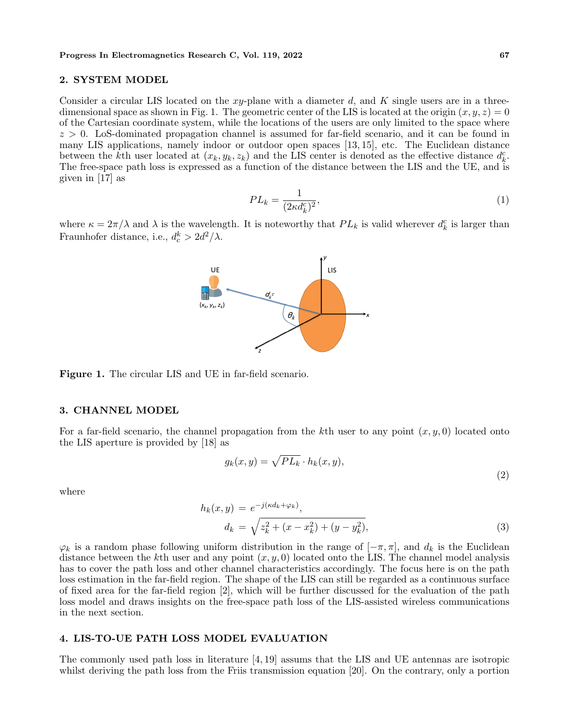#### **2. SYSTEM MODEL**

Consider a circular LIS located on the *xy*-plane with a diameter *d*, and *K* single users are in a threedimensional space as shown in Fig. 1. The geometric center of the LIS is located at the origin  $(x, y, z) = 0$ of the Cartesian coordinate system, while the locations of the users are only limited to the space where *z >* 0. LoS-dominated propagation channel is assumed for far-field scenario, and it can be found in many LIS applications, namely indoor or outdoor open spaces [13, 15], etc. The Euclidean distance between the *k*<sup>th</sup> user located at  $(x_k, y_k, z_k)$  and the LIS center is denoted as the effective distance  $d_k^c$ . The free-space path loss is expressed as a function of the distance between the LIS and the UE, and is given in [17] as

$$
PL_k = \frac{1}{(2\kappa d_k^c)^2},\tag{1}
$$

where  $\kappa = 2\pi/\lambda$  and  $\lambda$  is the wavelength. It is noteworthy that  $PL_k$  is valid wherever  $d_k^c$  is larger than Fraunhofer distance, i.e.,  $d_c^k > 2d^2/\lambda$ .



#### **3. CHANNEL MODEL**

For a far-field scenario, the channel propagation from the *k*th user to any point (*x, y,* 0) located onto the LIS aperture is provided by [18] as

$$
g_k(x,y) = \sqrt{PL_k} \cdot h_k(x,y),\tag{2}
$$

where

$$
h_k(x,y) = e^{-j(\kappa d_k + \varphi_k)},
$$
  
\n
$$
d_k = \sqrt{z_k^2 + (x - x_k^2) + (y - y_k^2)},
$$
\n(3)

 $\varphi_k$  is a random phase following uniform distribution in the range of  $[-\pi, \pi]$ , and  $d_k$  is the Euclidean distance between the *k*th user and any point (*x, y,* 0) located onto the LIS. The channel model analysis has to cover the path loss and other channel characteristics accordingly. The focus here is on the path loss estimation in the far-field region. The shape of the LIS can still be regarded as a continuous surface of fixed area for the far-field region [2], which will be further discussed for the evaluation of the path loss model and draws insights on the free-space path loss of the LIS-assisted wireless communications in the next section.

## **4. LIS-TO-UE PATH LOSS MODEL EVALUATION**

The commonly used path loss in literature [4, 19] assums that the LIS and UE antennas are isotropic whilst deriving the path loss from the Friis transmission equation [20]. On the contrary, only a portion

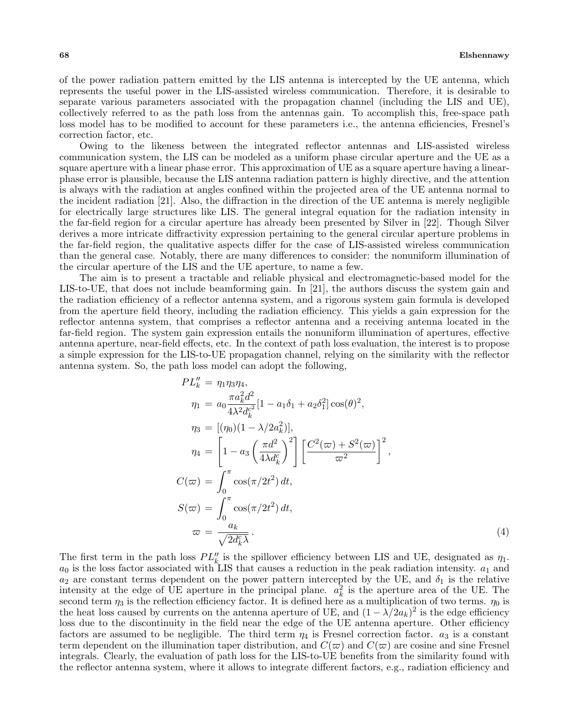of the power radiation pattern emitted by the LIS antenna is intercepted by the UE antenna, which represents the useful power in the LIS-assisted wireless communication. Therefore, it is desirable to separate various parameters associated with the propagation channel (including the LIS and UE), collectively referred to as the path loss from the antennas gain. To accomplish this, free-space path loss model has to be modified to account for these parameters i.e., the antenna efficiencies, Fresnel's correction factor, etc.

Owing to the likeness between the integrated reflector antennas and LIS-assisted wireless communication system, the LIS can be modeled as a uniform phase circular aperture and the UE as a square aperture with a linear phase error. This approximation of UE as a square aperture having a linearphase error is plausible, because the LIS antenna radiation pattern is highly directive, and the attention is always with the radiation at angles confined within the projected area of the UE antenna normal to the incident radiation [21]. Also, the diffraction in the direction of the UE antenna is merely negligible for electrically large structures like LIS. The general integral equation for the radiation intensity in the far-field region for a circular aperture has already been presented by Silver in [22]. Though Silver derives a more intricate diffractivity expression pertaining to the general circular aperture problems in the far-field region, the qualitative aspects differ for the case of LIS-assisted wireless communication than the general case. Notably, there are many differences to consider: the nonuniform illumination of the circular aperture of the LIS and the UE aperture, to name a few.

The aim is to present a tractable and reliable physical and electromagnetic-based model for the LIS-to-UE, that does not include beamforming gain. In [21], the authors discuss the system gain and the radiation efficiency of a reflector antenna system, and a rigorous system gain formula is developed from the aperture field theory, including the radiation efficiency. This yields a gain expression for the reflector antenna system, that comprises a reflector antenna and a receiving antenna located in the far-field region. The system gain expression entails the nonuniform illumination of apertures, effective antenna aperture, near-field effects, etc. In the context of path loss evaluation, the interest is to propose a simple expression for the LIS-to-UE propagation channel, relying on the similarity with the reflector antenna system. So, the path loss model can adopt the following,

$$
PL_k'' = \eta_1 \eta_3 \eta_4,
$$
  
\n
$$
\eta_1 = a_0 \frac{\pi a_k^2 d^2}{4\lambda^2 d_k^2} [1 - a_1 \delta_1 + a_2 \delta_1^2] \cos(\theta)^2,
$$
  
\n
$$
\eta_3 = [(\eta_0)(1 - \lambda/2 a_k^2)],
$$
  
\n
$$
\eta_4 = \left[1 - a_3 \left(\frac{\pi d^2}{4\lambda d_k^2}\right)^2\right] \left[\frac{C^2(\varpi) + S^2(\varpi)}{\varpi^2}\right]^2,
$$
  
\n
$$
C(\varpi) = \int_0^\pi \cos(\pi/2t^2) dt,
$$
  
\n
$$
S(\varpi) = \int_0^\pi \cos(\pi/2t^2) dt,
$$
  
\n
$$
\varpi = \frac{a_k}{\sqrt{2d_k^2 \lambda}}.
$$
\n(4)

The first term in the path loss  $PL''_k$  is the spillover efficiency between LIS and UE, designated as  $\eta_1$ .  $a_0$  is the loss factor associated with LIS that causes a reduction in the peak radiation intensity.  $a_1$  and  $a_2$  are constant terms dependent on the power pattern intercepted by the UE, and  $\delta_1$  is the relative intensity at the edge of UE aperture in the principal plane.  $a_k^2$  is the aperture area of the UE. The second term  $\eta_3$  is the reflection efficiency factor. It is defined here as a multiplication of two terms.  $\eta_0$  is the heat loss caused by currents on the antenna aperture of UE, and  $(1 - \lambda/2a_k)^2$  is the edge efficiency loss due to the discontinuity in the field near the edge of the UE antenna aperture. Other efficiency factors are assumed to be negligible. The third term  $\eta_4$  is Fresnel correction factor.  $a_3$  is a constant term dependent on the illumination taper distribution, and  $C(\varpi)$  and  $C(\varpi)$  are cosine and sine Fresnel integrals. Clearly, the evaluation of path loss for the LIS-to-UE benefits from the similarity found with the reflector antenna system, where it allows to integrate different factors, e.g., radiation efficiency and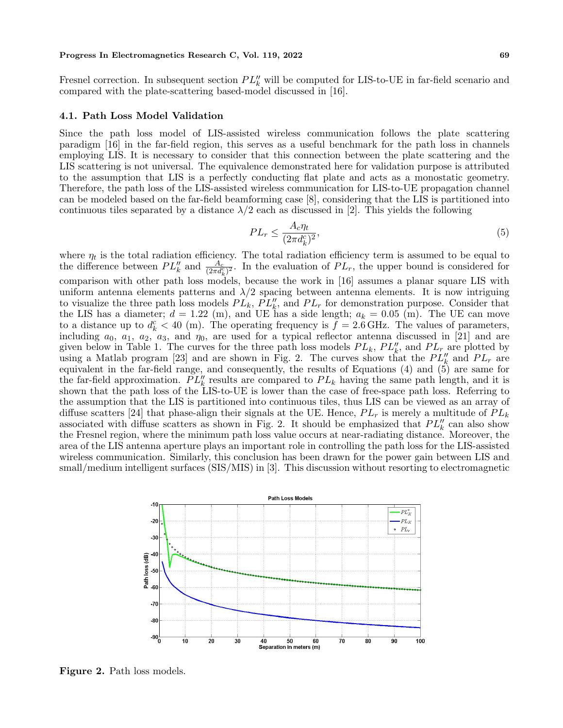Fresnel correction. In subsequent section  $PL''_k$  will be computed for LIS-to-UE in far-field scenario and compared with the plate-scattering based-model discussed in [16].

#### **4.1. Path Loss Model Validation**

Since the path loss model of LIS-assisted wireless communication follows the plate scattering paradigm [16] in the far-field region, this serves as a useful benchmark for the path loss in channels employing LIS. It is necessary to consider that this connection between the plate scattering and the LIS scattering is not universal. The equivalence demonstrated here for validation purpose is attributed to the assumption that LIS is a perfectly conducting flat plate and acts as a monostatic geometry. Therefore, the path loss of the LIS-assisted wireless communication for LIS-to-UE propagation channel can be modeled based on the far-field beamforming case [8], considering that the LIS is partitioned into continuous tiles separated by a distance  $\lambda/2$  each as discussed in [2]. This yields the following

$$
PL_r \le \frac{A_c \eta_t}{(2\pi d_k^c)^2},\tag{5}
$$

where  $\eta_t$  is the total radiation efficiency. The total radiation efficiency term is assumed to be equal to the difference between  $PL_k''$  and  $\frac{A_c}{(2\pi d_k^c)^2}$ . In the evaluation of  $PL_r$ , the upper bound is considered for comparison with other path loss models, because the work in [16] assumes a planar square LIS with uniform antenna elements patterns and  $\lambda/2$  spacing between antenna elements. It is now intriguing to visualize the three path loss models  $PL_k$ ,  $PL_k'$ , and  $PL_r$  for demonstration purpose. Consider that the LIS has a diameter;  $d = 1.22$  (m), and UE has a side length;  $a_k = 0.05$  (m). The UE can move to a distance up to  $d_k^c < 40$  (m). The operating frequency is  $\tilde{f} = 2.6$  GHz. The values of parameters, including  $a_0$ ,  $a_1$ ,  $a_2$ ,  $a_3$ , and  $\eta_0$ , are used for a typical reflector antenna discussed in [21] and are given below in Table 1. The curves for the three path loss models  $PL_k$ ,  $PL'_{k'}$ , and  $PL_r$  are plotted by using a Matlab program [23] and are shown in Fig. 2. The curves show that the  $PL''_k$  and  $PL_r$  are equivalent in the far-field range, and consequently, the results of Equations (4) and (5) are same for the far-field approximation.  $PL'_{k}$  results are compared to  $PL_{k}$  having the same path length, and it is shown that the path loss of the LIS-to-UE is lower than the case of free-space path loss. Referring to the assumption that the LIS is partitioned into continuous tiles, thus LIS can be viewed as an array of diffuse scatters [24] that phase-align their signals at the UE. Hence,  $PL_r$  is merely a multitude of  $PL_k$ associated with diffuse scatters as shown in Fig. 2. It should be emphasized that  $PL'_{k}$  can also show the Fresnel region, where the minimum path loss value occurs at near-radiating distance. Moreover, the area of the LIS antenna aperture plays an important role in controlling the path loss for the LIS-assisted wireless communication. Similarly, this conclusion has been drawn for the power gain between LIS and small/medium intelligent surfaces (SIS/MIS) in [3]. This discussion without resorting to electromagnetic



**Figure 2.** Path loss models.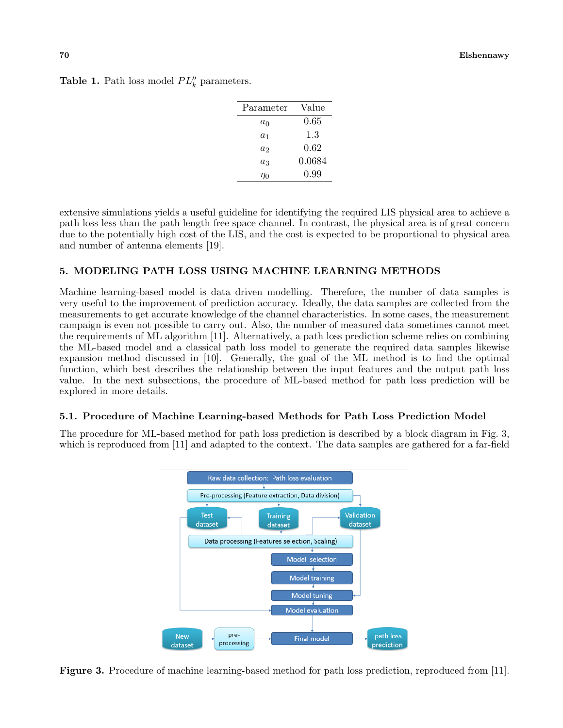| Parameter | Value    |
|-----------|----------|
| $a_0$     | $0.65\,$ |
| $a_1$     | 1.3      |
| $a_2$     | 0.62     |
| $a_3$     | 0.0684   |
| $\eta_0$  | 0.99     |

**Table 1.** Path loss model  $PL''_k$  parameters.

extensive simulations yields a useful guideline for identifying the required LIS physical area to achieve a path loss less than the path length free space channel. In contrast, the physical area is of great concern due to the potentially high cost of the LIS, and the cost is expected to be proportional to physical area and number of antenna elements [19].

## **5. MODELING PATH LOSS USING MACHINE LEARNING METHODS**

Machine learning-based model is data driven modelling. Therefore, the number of data samples is very useful to the improvement of prediction accuracy. Ideally, the data samples are collected from the measurements to get accurate knowledge of the channel characteristics. In some cases, the measurement campaign is even not possible to carry out. Also, the number of measured data sometimes cannot meet the requirements of ML algorithm [11]. Alternatively, a path loss prediction scheme relies on combining the ML-based model and a classical path loss model to generate the required data samples likewise expansion method discussed in [10]. Generally, the goal of the ML method is to find the optimal function, which best describes the relationship between the input features and the output path loss value. In the next subsections, the procedure of ML-based method for path loss prediction will be explored in more details.

## **5.1. Procedure of Machine Learning-based Methods for Path Loss Prediction Model**

The procedure for ML-based method for path loss prediction is described by a block diagram in Fig. 3, which is reproduced from [11] and adapted to the context. The data samples are gathered for a far-field



**Figure 3.** Procedure of machine learning-based method for path loss prediction, reproduced from [11].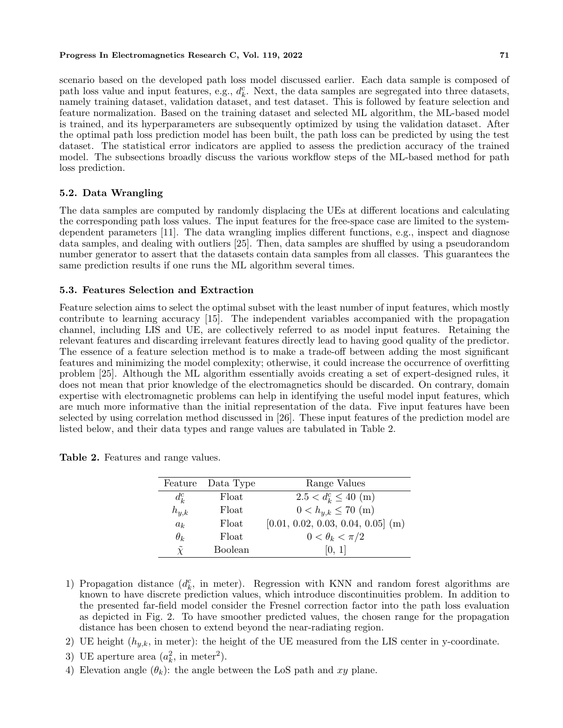scenario based on the developed path loss model discussed earlier. Each data sample is composed of path loss value and input features, e.g.,  $d_k^c$ . Next, the data samples are segregated into three datasets, namely training dataset, validation dataset, and test dataset. This is followed by feature selection and feature normalization. Based on the training dataset and selected ML algorithm, the ML-based model is trained, and its hyperparameters are subsequently optimized by using the validation dataset. After the optimal path loss prediction model has been built, the path loss can be predicted by using the test dataset. The statistical error indicators are applied to assess the prediction accuracy of the trained model. The subsections broadly discuss the various workflow steps of the ML-based method for path loss prediction.

## **5.2. Data Wrangling**

The data samples are computed by randomly displacing the UEs at different locations and calculating the corresponding path loss values. The input features for the free-space case are limited to the systemdependent parameters [11]. The data wrangling implies different functions, e.g., inspect and diagnose data samples, and dealing with outliers [25]. Then, data samples are shuffled by using a pseudorandom number generator to assert that the datasets contain data samples from all classes. This guarantees the same prediction results if one runs the ML algorithm several times.

## **5.3. Features Selection and Extraction**

Feature selection aims to select the optimal subset with the least number of input features, which mostly contribute to learning accuracy [15]. The independent variables accompanied with the propagation channel, including LIS and UE, are collectively referred to as model input features. Retaining the relevant features and discarding irrelevant features directly lead to having good quality of the predictor. The essence of a feature selection method is to make a trade-off between adding the most significant features and minimizing the model complexity; otherwise, it could increase the occurrence of overfitting problem [25]. Although the ML algorithm essentially avoids creating a set of expert-designed rules, it does not mean that prior knowledge of the electromagnetics should be discarded. On contrary, domain expertise with electromagnetic problems can help in identifying the useful model input features, which are much more informative than the initial representation of the data. Five input features have been selected by using correlation method discussed in [26]. These input features of the prediction model are listed below, and their data types and range values are tabulated in Table 2.

| Feature              | Data Type | Range Values                         |
|----------------------|-----------|--------------------------------------|
| $d_k^c$              | Float     | $2.5 < d_k^c \leq 40$ (m)            |
| $h_{y,k}$            | Float     | $0 < h_{y,k} \leq 70$ (m)            |
| $a_k$                | Float     | $[0.01, 0.02, 0.03, 0.04, 0.05]$ (m) |
| $\theta_k$           | Float     | $0 < \theta_k < \pi/2$               |
| $\tilde{\mathbf{Y}}$ | Boolean   | [0, 1]                               |

**Table 2.** Features and range values.

- 1) Propagation distance  $(d_k^c)$ , in meter). Regression with KNN and random forest algorithms are known to have discrete prediction values, which introduce discontinuities problem. In addition to the presented far-field model consider the Fresnel correction factor into the path loss evaluation as depicted in Fig. 2. To have smoother predicted values, the chosen range for the propagation distance has been chosen to extend beyond the near-radiating region.
- 2) UE height  $(h_{y,k}, \text{in meter})$ : the height of the UE measured from the LIS center in y-coordinate.
- 3) UE aperture area  $(a_k^2, \text{ in meter}^2)$ .
- 4) Elevation angle  $(\theta_k)$ : the angle between the LoS path and xy plane.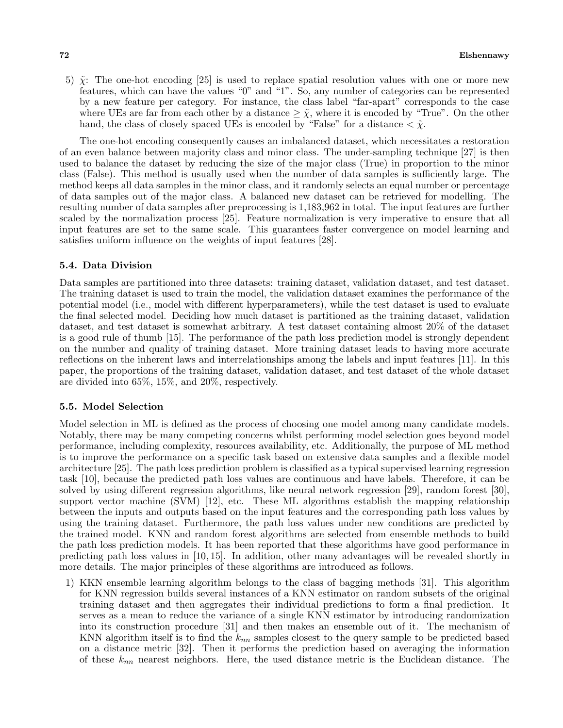5) ˜*χ*: The one-hot encoding [25] is used to replace spatial resolution values with one or more new features, which can have the values "0" and "1". So, any number of categories can be represented by a new feature per category. For instance, the class label "far-apart" corresponds to the case where UEs are far from each other by a distance  $\geq \tilde{\chi}$ , where it is encoded by "True". On the other hand, the class of closely spaced UEs is encoded by "False" for a distance  $\langle \tilde{\chi} \rangle$ .

The one-hot encoding consequently causes an imbalanced dataset, which necessitates a restoration of an even balance between majority class and minor class. The under-sampling technique [27] is then used to balance the dataset by reducing the size of the major class (True) in proportion to the minor class (False). This method is usually used when the number of data samples is sufficiently large. The method keeps all data samples in the minor class, and it randomly selects an equal number or percentage of data samples out of the major class. A balanced new dataset can be retrieved for modelling. The resulting number of data samples after preprocessing is 1,183,962 in total. The input features are further scaled by the normalization process [25]. Feature normalization is very imperative to ensure that all input features are set to the same scale. This guarantees faster convergence on model learning and satisfies uniform influence on the weights of input features [28].

#### **5.4. Data Division**

Data samples are partitioned into three datasets: training dataset, validation dataset, and test dataset. The training dataset is used to train the model, the validation dataset examines the performance of the potential model (i.e., model with different hyperparameters), while the test dataset is used to evaluate the final selected model. Deciding how much dataset is partitioned as the training dataset, validation dataset, and test dataset is somewhat arbitrary. A test dataset containing almost 20% of the dataset is a good rule of thumb [15]. The performance of the path loss prediction model is strongly dependent on the number and quality of training dataset. More training dataset leads to having more accurate reflections on the inherent laws and interrelationships among the labels and input features [11]. In this paper, the proportions of the training dataset, validation dataset, and test dataset of the whole dataset are divided into 65%, 15%, and 20%, respectively.

#### **5.5. Model Selection**

Model selection in ML is defined as the process of choosing one model among many candidate models. Notably, there may be many competing concerns whilst performing model selection goes beyond model performance, including complexity, resources availability, etc. Additionally, the purpose of ML method is to improve the performance on a specific task based on extensive data samples and a flexible model architecture [25]. The path loss prediction problem is classified as a typical supervised learning regression task [10], because the predicted path loss values are continuous and have labels. Therefore, it can be solved by using different regression algorithms, like neural network regression [29], random forest [30], support vector machine (SVM) [12], etc. These ML algorithms establish the mapping relationship between the inputs and outputs based on the input features and the corresponding path loss values by using the training dataset. Furthermore, the path loss values under new conditions are predicted by the trained model. KNN and random forest algorithms are selected from ensemble methods to build the path loss prediction models. It has been reported that these algorithms have good performance in predicting path loss values in [10, 15]. In addition, other many advantages will be revealed shortly in more details. The major principles of these algorithms are introduced as follows.

1) KKN ensemble learning algorithm belongs to the class of bagging methods [31]. This algorithm for KNN regression builds several instances of a KNN estimator on random subsets of the original training dataset and then aggregates their individual predictions to form a final prediction. It serves as a mean to reduce the variance of a single KNN estimator by introducing randomization into its construction procedure [31] and then makes an ensemble out of it. The mechanism of KNN algorithm itself is to find the *knn* samples closest to the query sample to be predicted based on a distance metric [32]. Then it performs the prediction based on averaging the information of these *knn* nearest neighbors. Here, the used distance metric is the Euclidean distance. The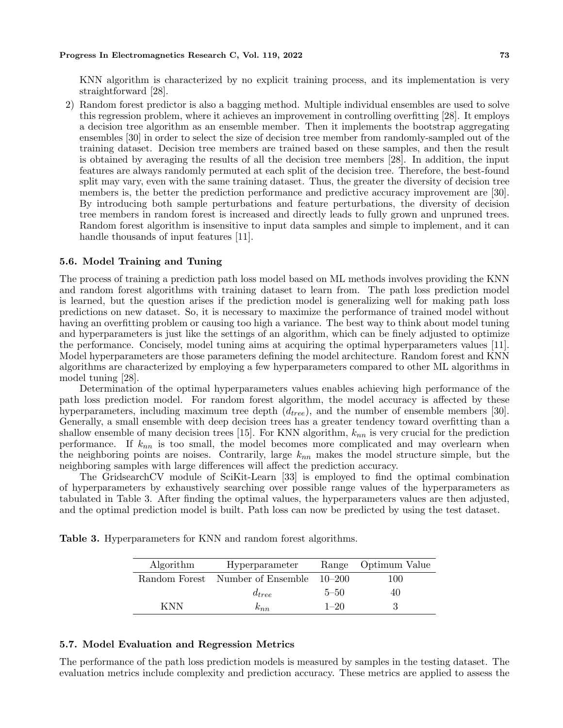KNN algorithm is characterized by no explicit training process, and its implementation is very straightforward [28].

2) Random forest predictor is also a bagging method. Multiple individual ensembles are used to solve this regression problem, where it achieves an improvement in controlling overfitting [28]. It employs a decision tree algorithm as an ensemble member. Then it implements the bootstrap aggregating ensembles [30] in order to select the size of decision tree member from randomly-sampled out of the training dataset. Decision tree members are trained based on these samples, and then the result is obtained by averaging the results of all the decision tree members [28]. In addition, the input features are always randomly permuted at each split of the decision tree. Therefore, the best-found split may vary, even with the same training dataset. Thus, the greater the diversity of decision tree members is, the better the prediction performance and predictive accuracy improvement are [30]. By introducing both sample perturbations and feature perturbations, the diversity of decision tree members in random forest is increased and directly leads to fully grown and unpruned trees. Random forest algorithm is insensitive to input data samples and simple to implement, and it can handle thousands of input features [11].

#### **5.6. Model Training and Tuning**

The process of training a prediction path loss model based on ML methods involves providing the KNN and random forest algorithms with training dataset to learn from. The path loss prediction model is learned, but the question arises if the prediction model is generalizing well for making path loss predictions on new dataset. So, it is necessary to maximize the performance of trained model without having an overfitting problem or causing too high a variance. The best way to think about model tuning and hyperparameters is just like the settings of an algorithm, which can be finely adjusted to optimize the performance. Concisely, model tuning aims at acquiring the optimal hyperparameters values [11]. Model hyperparameters are those parameters defining the model architecture. Random forest and KNN algorithms are characterized by employing a few hyperparameters compared to other ML algorithms in model tuning [28].

Determination of the optimal hyperparameters values enables achieving high performance of the path loss prediction model. For random forest algorithm, the model accuracy is affected by these hyperparameters, including maximum tree depth (*dtree*), and the number of ensemble members [30]. Generally, a small ensemble with deep decision trees has a greater tendency toward overfitting than a shallow ensemble of many decision trees [15]. For KNN algorithm, *knn* is very crucial for the prediction performance. If *knn* is too small, the model becomes more complicated and may overlearn when the neighboring points are noises. Contrarily, large *knn* makes the model structure simple, but the neighboring samples with large differences will affect the prediction accuracy.

The GridsearchCV module of SciKit-Learn [33] is employed to find the optimal combination of hyperparameters by exhaustively searching over possible range values of the hyperparameters as tabulated in Table 3. After finding the optimal values, the hyperparameters values are then adjusted, and the optimal prediction model is built. Path loss can now be predicted by using the test dataset.

**Table 3.** Hyperparameters for KNN and random forest algorithms.

| Algorithm | Hyperparameter                          |          | Range Optimum Value |
|-----------|-----------------------------------------|----------|---------------------|
|           | Random Forest Number of Ensemble 10-200 |          | 100                 |
|           | $d_{tree}$                              | $5 - 50$ | 40                  |
| KNN       | $\kappa_{nn}$                           | $1 - 20$ |                     |

#### **5.7. Model Evaluation and Regression Metrics**

The performance of the path loss prediction models is measured by samples in the testing dataset. The evaluation metrics include complexity and prediction accuracy. These metrics are applied to assess the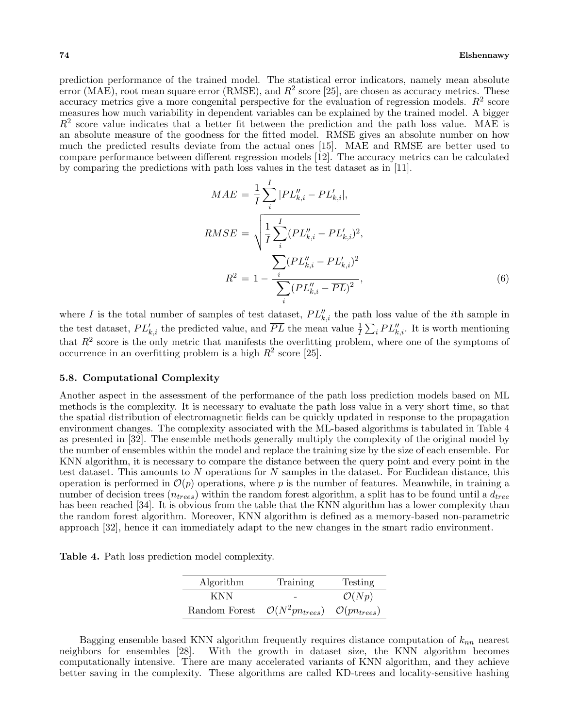prediction performance of the trained model. The statistical error indicators, namely mean absolute error (MAE), root mean square error (RMSE), and  $R^2$  score [25], are chosen as accuracy metrics. These accuracy metrics give a more congenital perspective for the evaluation of regression models.  $R^2$  score measures how much variability in dependent variables can be explained by the trained model. A bigger  $R^2$  score value indicates that a better fit between the prediction and the path loss value. MAE is an absolute measure of the goodness for the fitted model. RMSE gives an absolute number on how much the predicted results deviate from the actual ones [15]. MAE and RMSE are better used to compare performance between different regression models [12]. The accuracy metrics can be calculated by comparing the predictions with path loss values in the test dataset as in [11].

$$
MAE = \frac{1}{I} \sum_{i}^{I} |PL_{k,i}'' - PL_{k,i}'|,
$$
  
\n
$$
RMSE = \sqrt{\frac{1}{I} \sum_{i}^{I} (PL_{k,i}'' - PL_{k,i}')^{2}},
$$
  
\n
$$
R^{2} = 1 - \frac{\sum_{i}^{I} (PL_{k,i}'' - PL_{k,i}')^{2}}{\sum_{i} (PL_{k,i}'' - \overline{PL})^{2}},
$$
\n(6)

where *I* is the total number of samples of test dataset,  $PL''_{k,i}$  the path loss value of the *i*th sample in the test dataset,  $PL'_{k,i}$  the predicted value, and  $\overline{PL}$  the mean value  $\frac{1}{I}\sum_i PL''_{k,i}$ . It is worth mentioning that  $R<sup>2</sup>$  score is the only metric that manifests the overfitting problem, where one of the symptoms of occurrence in an overfitting problem is a high  $R^2$  score [25].

#### **5.8. Computational Complexity**

Another aspect in the assessment of the performance of the path loss prediction models based on ML methods is the complexity. It is necessary to evaluate the path loss value in a very short time, so that the spatial distribution of electromagnetic fields can be quickly updated in response to the propagation environment changes. The complexity associated with the ML-based algorithms is tabulated in Table 4 as presented in [32]. The ensemble methods generally multiply the complexity of the original model by the number of ensembles within the model and replace the training size by the size of each ensemble. For KNN algorithm, it is necessary to compare the distance between the query point and every point in the test dataset. This amounts to *N* operations for *N* samples in the dataset. For Euclidean distance, this operation is performed in  $\mathcal{O}(p)$  operations, where p is the number of features. Meanwhile, in training a number of decision trees (*ntrees*) within the random forest algorithm, a split has to be found until a *dtree* has been reached [34]. It is obvious from the table that the KNN algorithm has a lower complexity than the random forest algorithm. Moreover, KNN algorithm is defined as a memory-based non-parametric approach [32], hence it can immediately adapt to the new changes in the smart radio environment.

**Table 4.** Path loss prediction model complexity.

| Algorithm     | Training                     | Testing                    |
|---------------|------------------------------|----------------------------|
| KNN.          |                              | $\mathcal{O}(Np)$          |
| Random Forest | $\mathcal{O}(N^2pn_{trees})$ | $\mathcal{O}(p n_{trees})$ |

Bagging ensemble based KNN algorithm frequently requires distance computation of *knn* nearest neighbors for ensembles [28]. With the growth in dataset size, the KNN algorithm becomes computationally intensive. There are many accelerated variants of KNN algorithm, and they achieve better saving in the complexity. These algorithms are called KD-trees and locality-sensitive hashing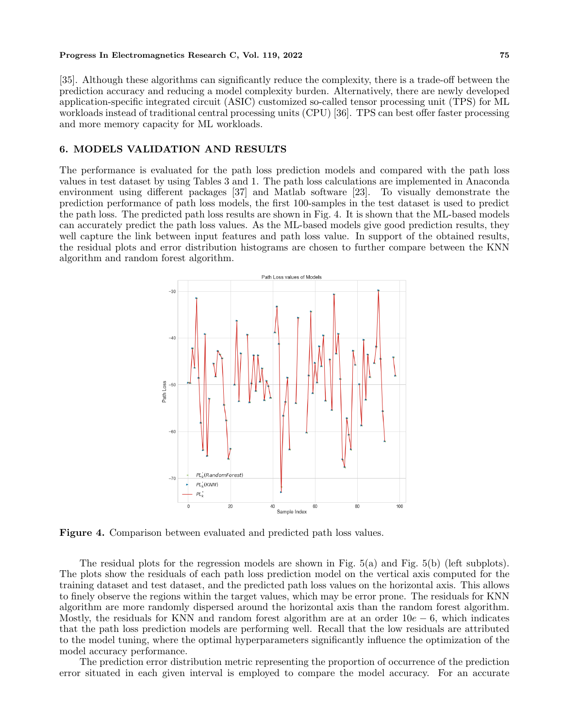[35]. Although these algorithms can significantly reduce the complexity, there is a trade-off between the prediction accuracy and reducing a model complexity burden. Alternatively, there are newly developed application-specific integrated circuit (ASIC) customized so-called tensor processing unit (TPS) for ML workloads instead of traditional central processing units (CPU) [36]. TPS can best offer faster processing and more memory capacity for ML workloads.

## **6. MODELS VALIDATION AND RESULTS**

The performance is evaluated for the path loss prediction models and compared with the path loss values in test dataset by using Tables 3 and 1. The path loss calculations are implemented in Anaconda environment using different packages [37] and Matlab software [23]. To visually demonstrate the prediction performance of path loss models, the first 100-samples in the test dataset is used to predict the path loss. The predicted path loss results are shown in Fig. 4. It is shown that the ML-based models can accurately predict the path loss values. As the ML-based models give good prediction results, they well capture the link between input features and path loss value. In support of the obtained results, the residual plots and error distribution histograms are chosen to further compare between the KNN algorithm and random forest algorithm.



**Figure 4.** Comparison between evaluated and predicted path loss values.

The residual plots for the regression models are shown in Fig. 5(a) and Fig. 5(b) (left subplots). The plots show the residuals of each path loss prediction model on the vertical axis computed for the training dataset and test dataset, and the predicted path loss values on the horizontal axis. This allows to finely observe the regions within the target values, which may be error prone. The residuals for KNN algorithm are more randomly dispersed around the horizontal axis than the random forest algorithm. Mostly, the residuals for KNN and random forest algorithm are at an order 10*e −* 6, which indicates that the path loss prediction models are performing well. Recall that the low residuals are attributed to the model tuning, where the optimal hyperparameters significantly influence the optimization of the model accuracy performance.

The prediction error distribution metric representing the proportion of occurrence of the prediction error situated in each given interval is employed to compare the model accuracy. For an accurate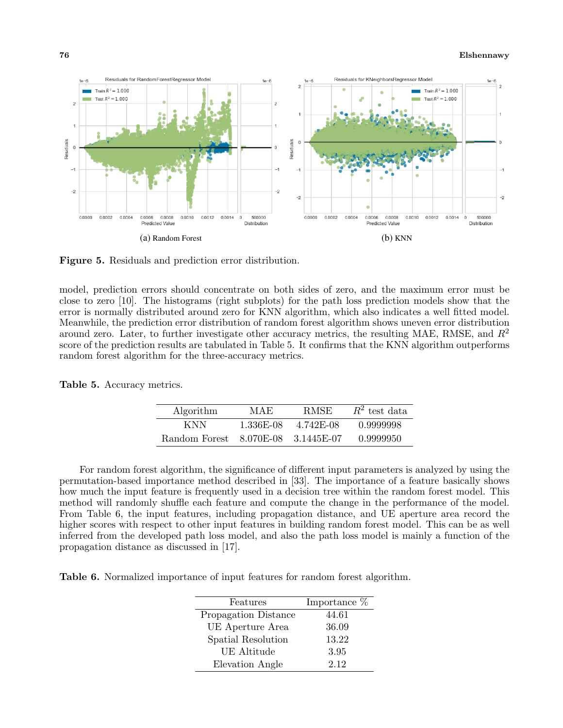#### **76 Elshennawy**



**Figure 5.** Residuals and prediction error distribution.

model, prediction errors should concentrate on both sides of zero, and the maximum error must be close to zero [10]. The histograms (right subplots) for the path loss prediction models show that the error is normally distributed around zero for KNN algorithm, which also indicates a well fitted model. Meanwhile, the prediction error distribution of random forest algorithm shows uneven error distribution around zero. Later, to further investigate other accuracy metrics, the resulting MAE, RMSE, and *R*<sup>2</sup> score of the prediction results are tabulated in Table 5. It confirms that the KNN algorithm outperforms random forest algorithm for the three-accuracy metrics.

| Algorithm     | MAE       | <b>RMSE</b>  | $R^2$ test data |
|---------------|-----------|--------------|-----------------|
| KNN.          | 1.336E-08 | 4.742E-08    | 0.9999998       |
| Random Forest | 8.070E-08 | - 3.1445E-07 | 0.9999950       |

For random forest algorithm, the significance of different input parameters is analyzed by using the permutation-based importance method described in [33]. The importance of a feature basically shows how much the input feature is frequently used in a decision tree within the random forest model. This method will randomly shuffle each feature and compute the change in the performance of the model. From Table 6, the input features, including propagation distance, and UE aperture area record the higher scores with respect to other input features in building random forest model. This can be as well inferred from the developed path loss model, and also the path loss model is mainly a function of the propagation distance as discussed in [17].

**Table 6.** Normalized importance of input features for random forest algorithm.

| Features             | Importance % |
|----------------------|--------------|
| Propagation Distance | 44.61        |
| UE Aperture Area     | 36.09        |
| Spatial Resolution   | 13.22        |
| <b>UE</b> Altitude   | 3.95         |
| Elevation Angle      | 2.12         |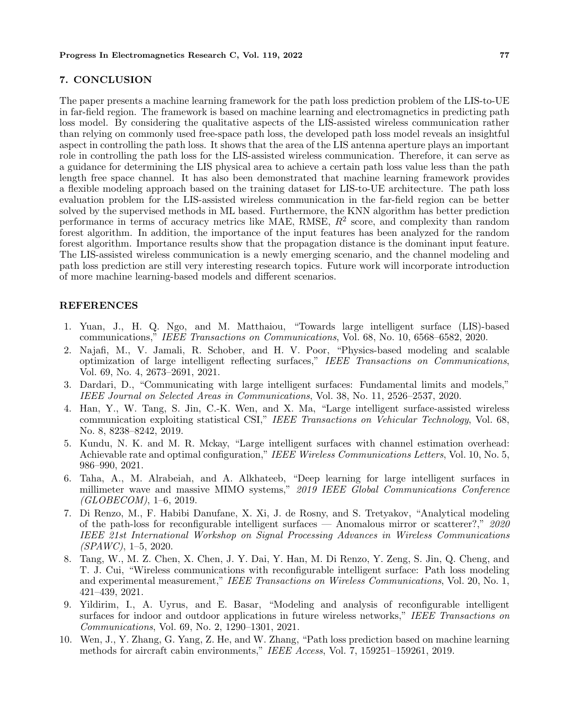#### **7. CONCLUSION**

The paper presents a machine learning framework for the path loss prediction problem of the LIS-to-UE in far-field region. The framework is based on machine learning and electromagnetics in predicting path loss model. By considering the qualitative aspects of the LIS-assisted wireless communication rather than relying on commonly used free-space path loss, the developed path loss model reveals an insightful aspect in controlling the path loss. It shows that the area of the LIS antenna aperture plays an important role in controlling the path loss for the LIS-assisted wireless communication. Therefore, it can serve as a guidance for determining the LIS physical area to achieve a certain path loss value less than the path length free space channel. It has also been demonstrated that machine learning framework provides a flexible modeling approach based on the training dataset for LIS-to-UE architecture. The path loss evaluation problem for the LIS-assisted wireless communication in the far-field region can be better solved by the supervised methods in ML based. Furthermore, the KNN algorithm has better prediction performance in terms of accuracy metrics like MAE, RMSE, *R*<sup>2</sup> score, and complexity than random forest algorithm. In addition, the importance of the input features has been analyzed for the random forest algorithm. Importance results show that the propagation distance is the dominant input feature. The LIS-assisted wireless communication is a newly emerging scenario, and the channel modeling and path loss prediction are still very interesting research topics. Future work will incorporate introduction of more machine learning-based models and different scenarios.

#### **REFERENCES**

- 1. Yuan, J., H. Q. Ngo, and M. Matthaiou, "Towards large intelligent surface (LIS)-based communications," *IEEE Transactions on Communications*, Vol. 68, No. 10, 6568–6582, 2020.
- 2. Najafi, M., V. Jamali, R. Schober, and H. V. Poor, "Physics-based modeling and scalable optimization of large intelligent reflecting surfaces," *IEEE Transactions on Communications*, Vol. 69, No. 4, 2673–2691, 2021.
- 3. Dardari, D., "Communicating with large intelligent surfaces: Fundamental limits and models," *IEEE Journal on Selected Areas in Communications*, Vol. 38, No. 11, 2526–2537, 2020.
- 4. Han, Y., W. Tang, S. Jin, C.-K. Wen, and X. Ma, "Large intelligent surface-assisted wireless communication exploiting statistical CSI," *IEEE Transactions on Vehicular Technology*, Vol. 68, No. 8, 8238–8242, 2019.
- 5. Kundu, N. K. and M. R. Mckay, "Large intelligent surfaces with channel estimation overhead: Achievable rate and optimal configuration," *IEEE Wireless Communications Letters*, Vol. 10, No. 5, 986–990, 2021.
- 6. Taha, A., M. Alrabeiah, and A. Alkhateeb, "Deep learning for large intelligent surfaces in millimeter wave and massive MIMO systems," *2019 IEEE Global Communications Conference (GLOBECOM)*, 1–6, 2019.
- 7. Di Renzo, M., F. Habibi Danufane, X. Xi, J. de Rosny, and S. Tretyakov, "Analytical modeling of the path-loss for reconfigurable intelligent surfaces — Anomalous mirror or scatterer?," *2020 IEEE 21st International Workshop on Signal Processing Advances in Wireless Communications (SPAWC)*, 1–5, 2020.
- 8. Tang, W., M. Z. Chen, X. Chen, J. Y. Dai, Y. Han, M. Di Renzo, Y. Zeng, S. Jin, Q. Cheng, and T. J. Cui, "Wireless communications with reconfigurable intelligent surface: Path loss modeling and experimental measurement," *IEEE Transactions on Wireless Communications*, Vol. 20, No. 1, 421–439, 2021.
- 9. Yildirim, I., A. Uyrus, and E. Basar, "Modeling and analysis of reconfigurable intelligent surfaces for indoor and outdoor applications in future wireless networks," *IEEE Transactions on Communications*, Vol. 69, No. 2, 1290–1301, 2021.
- 10. Wen, J., Y. Zhang, G. Yang, Z. He, and W. Zhang, "Path loss prediction based on machine learning methods for aircraft cabin environments," *IEEE Access*, Vol. 7, 159251–159261, 2019.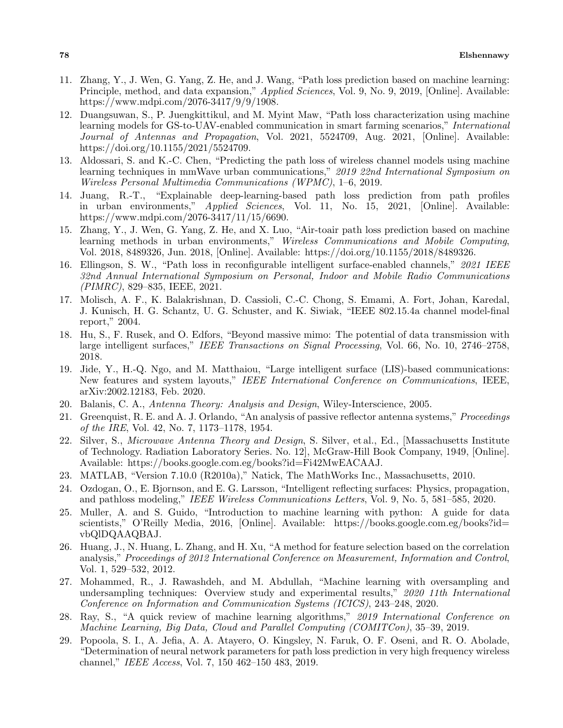- 11. Zhang, Y., J. Wen, G. Yang, Z. He, and J. Wang, "Path loss prediction based on machine learning: Principle, method, and data expansion," *Applied Sciences*, Vol. 9, No. 9, 2019, [Online]. Available: https://www.mdpi.com/2076-3417/9/9/1908.
- 12. Duangsuwan, S., P. Juengkittikul, and M. Myint Maw, "Path loss characterization using machine learning models for GS-to-UAV-enabled communication in smart farming scenarios," *International Journal of Antennas and Propagation*, Vol. 2021, 5524709, Aug. 2021, [Online]. Available: https://doi.org/10.1155/2021/5524709.
- 13. Aldossari, S. and K.-C. Chen, "Predicting the path loss of wireless channel models using machine learning techniques in mmWave urban communications," *2019 22nd International Symposium on Wireless Personal Multimedia Communications (WPMC)*, 1–6, 2019.
- 14. Juang, R.-T., "Explainable deep-learning-based path loss prediction from path profiles in urban environments," *Applied Sciences*, Vol. 11, No. 15, 2021, [Online]. Available: https://www.mdpi.com/2076-3417/11/15/6690.
- 15. Zhang, Y., J. Wen, G. Yang, Z. He, and X. Luo, "Air-toair path loss prediction based on machine learning methods in urban environments," *Wireless Communications and Mobile Computing*, Vol. 2018, 8489326, Jun. 2018, [Online]. Available: https://doi.org/10.1155/2018/8489326.
- 16. Ellingson, S. W., "Path loss in reconfigurable intelligent surface-enabled channels," *2021 IEEE 32nd Annual International Symposium on Personal, Indoor and Mobile Radio Communications (PIMRC)*, 829–835, IEEE, 2021.
- 17. Molisch, A. F., K. Balakrishnan, D. Cassioli, C.-C. Chong, S. Emami, A. Fort, Johan, Karedal, J. Kunisch, H. G. Schantz, U. G. Schuster, and K. Siwiak, "IEEE 802.15.4a channel model-final report," 2004.
- 18. Hu, S., F. Rusek, and O. Edfors, "Beyond massive mimo: The potential of data transmission with large intelligent surfaces," *IEEE Transactions on Signal Processing*, Vol. 66, No. 10, 2746–2758, 2018.
- 19. Jide, Y., H.-Q. Ngo, and M. Matthaiou, "Large intelligent surface (LIS)-based communications: New features and system layouts," *IEEE International Conference on Communications*, IEEE, arXiv:2002.12183, Feb. 2020.
- 20. Balanis, C. A., *Antenna Theory: Analysis and Design*, Wiley-Interscience, 2005.
- 21. Greenquist, R. E. and A. J. Orlando, "An analysis of passive reflector antenna systems," *Proceedings of the IRE*, Vol. 42, No. 7, 1173–1178, 1954.
- 22. Silver, S., *Microwave Antenna Theory and Design*, S. Silver, et al., Ed., [Massachusetts Institute of Technology. Radiation Laboratory Series. No. 12], McGraw-Hill Book Company, 1949, [Online]. Available: https://books.google.com.eg/books?id=Fi42MwEACAAJ.
- 23. MATLAB, "Version 7.10.0 (R2010a)," Natick, The MathWorks Inc., Massachusetts, 2010.
- 24. Ozdogan, O., E. Bjornson, and E. G. Larsson, "Intelligent reflecting surfaces: Physics, propagation, and pathloss modeling," *IEEE Wireless Communications Letters*, Vol. 9, No. 5, 581–585, 2020.
- 25. Muller, A. and S. Guido, "Introduction to machine learning with python: A guide for data scientists," O'Reilly Media, 2016, [Online]. Available: https://books.google.com.eg/books?id= vbQlDQAAQBAJ.
- 26. Huang, J., N. Huang, L. Zhang, and H. Xu, "A method for feature selection based on the correlation analysis," *Proceedings of 2012 International Conference on Measurement, Information and Control*, Vol. 1, 529–532, 2012.
- 27. Mohammed, R., J. Rawashdeh, and M. Abdullah, "Machine learning with oversampling and undersampling techniques: Overview study and experimental results," *2020 11th International Conference on Information and Communication Systems (ICICS)*, 243–248, 2020.
- 28. Ray, S., "A quick review of machine learning algorithms," *2019 International Conference on Machine Learning, Big Data, Cloud and Parallel Computing (COMITCon)*, 35–39, 2019.
- 29. Popoola, S. I., A. Jefia, A. A. Atayero, O. Kingsley, N. Faruk, O. F. Oseni, and R. O. Abolade, "Determination of neural network parameters for path loss prediction in very high frequency wireless channel," *IEEE Access*, Vol. 7, 150 462–150 483, 2019.